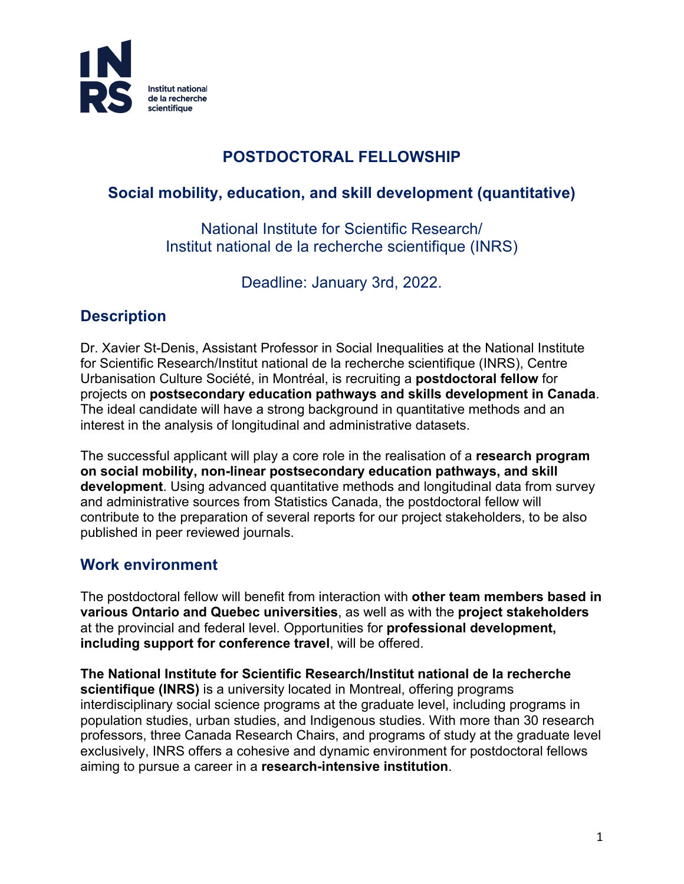

### **POSTDOCTORAL FELLOWSHIP**

# **Social mobility, education, and skill development (quantitative)**

National Institute for Scientific Research/ Institut national de la recherche scientifique (INRS)

Deadline: January 3rd, 2022.

# **Description**

Dr. Xavier St-Denis, Assistant Professor in Social Inequalities at the National Institute for Scientific Research/Institut national de la recherche scientifique (INRS), Centre Urbanisation Culture Société, in Montréal, is recruiting a **postdoctoral fellow** for projects on **postsecondary education pathways and skills development in Canada**. The ideal candidate will have a strong background in quantitative methods and an interest in the analysis of longitudinal and administrative datasets.

The successful applicant will play a core role in the realisation of a **research program on social mobility, non-linear postsecondary education pathways, and skill development**. Using advanced quantitative methods and longitudinal data from survey and administrative sources from Statistics Canada, the postdoctoral fellow will contribute to the preparation of several reports for our project stakeholders, to be also published in peer reviewed journals.

# **Work environment**

The postdoctoral fellow will benefit from interaction with **other team members based in various Ontario and Quebec universities**, as well as with the **project stakeholders** at the provincial and federal level. Opportunities for **professional development, including support for conference travel**, will be offered.

**The National Institute for Scientific Research/Institut national de la recherche scientifique (INRS)** is a university located in Montreal, offering programs interdisciplinary social science programs at the graduate level, including programs in population studies, urban studies, and Indigenous studies. With more than 30 research professors, three Canada Research Chairs, and programs of study at the graduate level exclusively, INRS offers a cohesive and dynamic environment for postdoctoral fellows aiming to pursue a career in a **research-intensive institution**.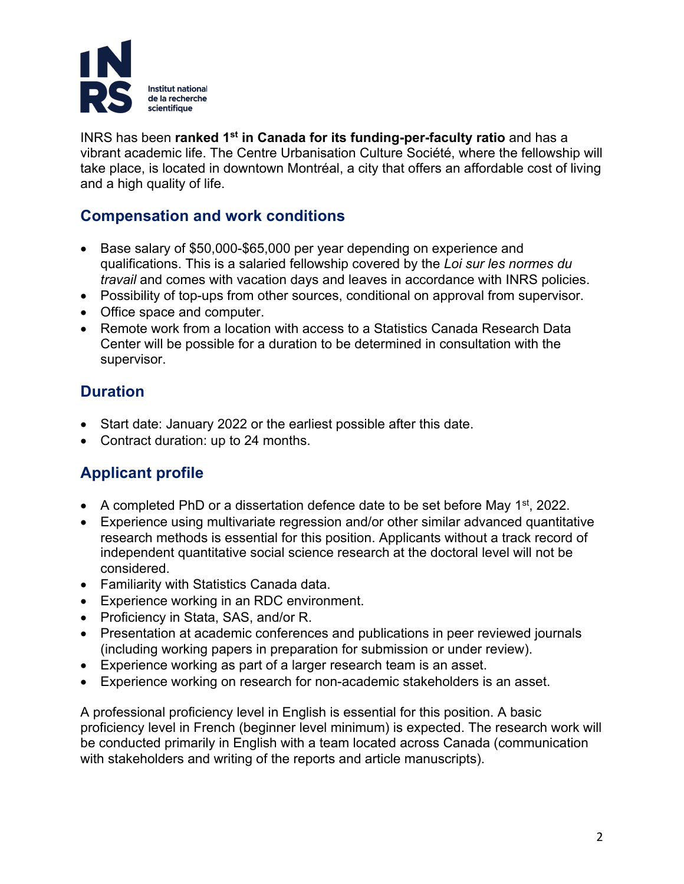

INRS has been **ranked 1st in Canada for its funding-per-faculty ratio** and has a vibrant academic life. The Centre Urbanisation Culture Société, where the fellowship will take place, is located in downtown Montréal, a city that offers an affordable cost of living and a high quality of life.

#### **Compensation and work conditions**

- Base salary of \$50,000-\$65,000 per year depending on experience and qualifications. This is a salaried fellowship covered by the *Loi sur les normes du travail* and comes with vacation days and leaves in accordance with INRS policies.
- Possibility of top-ups from other sources, conditional on approval from supervisor.
- Office space and computer.
- Remote work from a location with access to a Statistics Canada Research Data Center will be possible for a duration to be determined in consultation with the supervisor.

### **Duration**

- Start date: January 2022 or the earliest possible after this date.
- Contract duration: up to 24 months.

# **Applicant profile**

- A completed PhD or a dissertation defence date to be set before May  $1<sup>st</sup>$ , 2022.
- Experience using multivariate regression and/or other similar advanced quantitative research methods is essential for this position. Applicants without a track record of independent quantitative social science research at the doctoral level will not be considered.
- Familiarity with Statistics Canada data.
- Experience working in an RDC environment.
- Proficiency in Stata, SAS, and/or R.
- Presentation at academic conferences and publications in peer reviewed journals (including working papers in preparation for submission or under review).
- Experience working as part of a larger research team is an asset.
- Experience working on research for non-academic stakeholders is an asset.

A professional proficiency level in English is essential for this position. A basic proficiency level in French (beginner level minimum) is expected. The research work will be conducted primarily in English with a team located across Canada (communication with stakeholders and writing of the reports and article manuscripts).